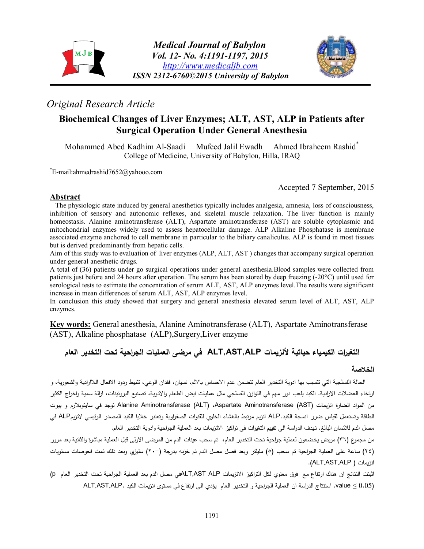



# *Original Research Article*

## **Biochemical Changes of Liver Enzymes; ALT, AST, ALP in Patients after Surgical Operation Under General Anesthesia**

Mohammed Abed Kadhim Al-Saadi Mufeed Jalil Ewadh Ahmed Ibraheem Rashid<sup>\*</sup> College of Medicine, University of Babylon, Hilla, IRAQ

\*E-mail:ahmedrashid7652@yahooo.com

Accepted 7 September, 2015

#### **Abstract**

The physiologic state induced by general anesthetics typically includes analgesia, amnesia, loss of consciousness, inhibition of sensory and autonomic reflexes, and skeletal muscle relaxation. The liver function is mainly homeostasis. Alanine aminotransferase (ALT), Aspartate aminotransferase (AST) are soluble cytoplasmic and mitochondrial enzymes widely used to assess hepatocellular damage. ALP Alkaline Phosphatase is membrane associated enzyme anchored to cell membrane in particular to the biliary canaliculus. ALP is found in most tissues but is derived predominantly from hepatic cells.

Aim of this study was to evaluation of liver enzymes (ALP, ALT, AST ) changes that accompany surgical operation under general anesthetic drugs.

A total of (36) patients under go surgical operations under general anesthesia.Blood samples were collected from patients just before and 24 hours after operation. The serum has been stored by deep freezing (-20°C) until used for serological tests to estimate the concentration of serum ALT, AST, ALP enzymes level.The results were significant increase in mean differences of serum ALT, AST, ALP enzymes level.

In conclusion this study showed that surgery and general anesthesia elevated serum level of ALT, AST, ALP enzymes.

**Key words:** General anesthesia, Alanine Aminotransferase (ALT), Aspartate Aminotransferase (AST), Alkaline phosphatase (ALP),Surgery,Liver enzyme

# **التغیرات الكیمیاء حیاتیة لأنزیمات ALP,AST,ALT في مرضى العملیات الجراحیة تحت التخدیر العام**

### **الخلاصة**

الحالة الفسلجیة التي تتسبب بها ادویة التخدیر العام تتضمن عدم الاحساس بالالم، نسیان، فقدان الوعي، تثبیط ردود الافعال اللاا اردیة والشعوریة، و ارتخاء العضلات الارادیة. الكبد یلعب دور مهم في التوازن الفسلجي مثل عملیات ایض الطعام والادویة، تصنیع البروتینات، ازالة سمیة واخراج الكثیر من المواد الضارة انزیمات (AST (Aminotransferase Aspartate،) ALT (Aminotransferase Alanine توجد في سایتوبلازم و بیوت الطاقة وتستعمل لقياس ضرر انسجة الكبد.ALP انزیم مرتبط بالغشاء الخلوي للقنوات الصفراوية وتعتبر خلايا الكبد المصدر الرئيسي لانزیمALP في مصل الدم للانسان البالغ. تهدف الدراسة الى تقييم التغيرات في تراكيز الانزيمات بعد العملية الجراحية وادوية التخدير العام.

من مجموع (٣٦) مريض يخضعون لعملية جراحية تحت التخدير العام، تم سحب عينات الدم من المرضى الاولى قبل العملية مباشرة والثانية بعد مرور (٢٤) ساعة على العملیة الج ارحیة تم سحب (٥) ملیلتر وبعد فصل مصل الدم تم خزنه بدرجة (٢٠-) سلیزي وبعد ذلك تمت فحوصات مستویات .(ALT,AST,ALP ) انزیمات

اثبتت النتائج ان هناك ارتفاع مع فرق معنوي لكل التراكیز الانزیمات ALT,AST ALPفي مصل الدم بعد العملیة الجراحیة تحت التخدیر العام p) (0.05 ≥ value. استنتاج الد ارسة ان العملیة الج ارحیة و التخدیر العام یؤدي الى ارتفاع في مستوى انزیمات الكبد .ALP,AST,ALT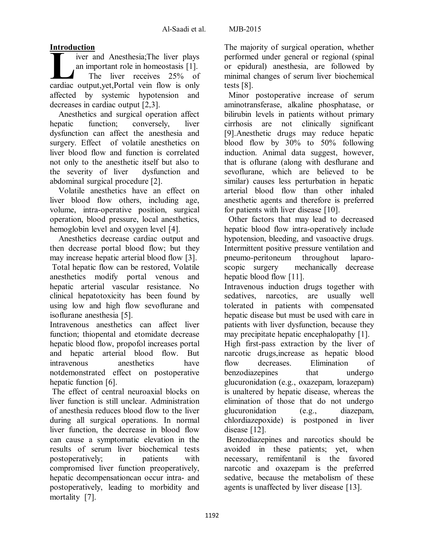## **Introduction**

iver and Anesthesia;The liver plays an important role in homeostasis [1]. The liver receives 25% of iver and Anesthesia;The liver plays<br>an important role in homeostasis [1].<br>The liver receives 25% of<br>cardiac output,yet,Portal vein flow is only affected by systemic hypotension and decreases in cardiac output [2,3].

Anesthetics and surgical operation affect hepatic function; conversely, liver dysfunction can affect the anesthesia and surgery. Effect of volatile anesthetics on liver blood flow and function is correlated not only to the anesthetic itself but also to the severity of liver dysfunction and abdominal surgical procedure [2].

Volatile anesthetics have an effect on liver blood flow others, including age, volume, intra-operative position, surgical operation, blood pressure, local anesthetics, hemoglobin level and oxygen level [4].

Anesthetics decrease cardiac output and then decrease portal blood flow; but they may increase hepatic arterial blood flow [3].

Total hepatic flow can be restored, Volatile anesthetics modify portal venous and hepatic arterial vascular resistance. No clinical hepatotoxicity has been found by using low and high flow sevoflurane and isoflurane anesthesia [5].

Intravenous anesthetics can affect liver function; thiopental and etomidate decrease hepatic blood flow, propofol increases portal and hepatic arterial blood flow. But intravenous anesthetics have notdemonstrated effect on postoperative hepatic function [6].

The effect of central neuroaxial blocks on liver function is still unclear. Administration of anesthesia reduces blood flow to the liver during all surgical operations. In normal liver function, the decrease in blood flow can cause a symptomatic elevation in the results of serum liver biochemical tests postoperatively; in patients with compromised liver function preoperatively, hepatic decompensationcan occur intra- and postoperatively, leading to morbidity and mortality [7].

The majority of surgical operation, whether performed under general or regional (spinal or epidural) anesthesia, are followed by minimal changes of serum liver biochemical tests [8].

Minor postoperative increase of serum aminotransferase, alkaline phosphatase, or bilirubin levels in patients without primary cirrhosis are not clinically significant [9].Anesthetic drugs may reduce hepatic blood flow by 30% to 50% following induction. Animal data suggest, however, that is oflurane (along with desflurane and sevoflurane, which are believed to be similar) causes less perturbation in hepatic arterial blood flow than other inhaled anesthetic agents and therefore is preferred for patients with liver disease [10].

Other factors that may lead to decreased hepatic blood flow intra-operatively include hypotension, bleeding, and vasoactive drugs. Intermittent positive pressure ventilation and pneumo-peritoneum throughout laparoscopic surgery mechanically decrease hepatic blood flow [11].

Intravenous induction drugs together with sedatives, narcotics, are usually well tolerated in patients with compensated hepatic disease but must be used with care in patients with liver dysfunction, because they may precipitate hepatic encephalopathy [1].

High first-pass extraction by the liver of narcotic drugs,increase as hepatic blood flow decreases. Elimination of benzodiazepines that undergo glucuronidation (e.g., oxazepam, lorazepam) is unaltered by hepatic disease, whereas the elimination of those that do not undergo glucuronidation (e.g., diazepam, chlordiazepoxide) is postponed in liver disease [12].

Benzodiazepines and narcotics should be avoided in these patients; yet, when necessary, remifentanil is the favored narcotic and oxazepam is the preferred sedative, because the metabolism of these agents is unaffected by liver disease [13].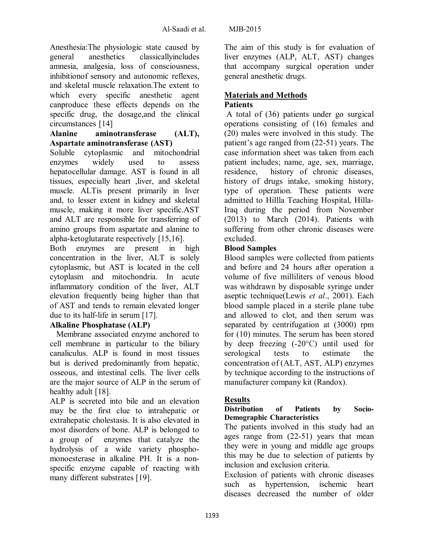Anesthesia:The physiologic state caused by general anesthetics classicallyincludes amnesia, analgesia, loss of consciousness, inhibitionof sensory and autonomic reflexes, and skeletal muscle relaxation.The extent to which every specific anesthetic agent canproduce these effects depends on the specific drug, the dosage,and the clinical circumstances [14]

#### **Alanine aminotransferase (ALT), Aspartate aminotransferase (AST)**

Soluble cytoplasmic and mitochondrial enzymes widely used to assess hepatocellular damage. AST is found in all tissues, especially heart ,liver, and skeletal muscle. ALTis present primarily in liver and, to lesser extent in kidney and skeletal muscle, making it more liver specific.AST and ALT are responsible for transferring of amino groups from aspartate and alanine to alpha-ketoglutarate respectively [15,16].

Both enzymes are present in high concentration in the liver, ALT is solely cytoplasmic, but AST is located in the cell cytoplasm and mitochondria. In acute inflammatory condition of the liver, ALT elevation frequently being higher than that of AST and tends to remain elevated longer due to its half-life in serum [17].

### **Alkaline Phosphatase (ALP)**

Membrane associated enzyme anchored to cell membrane in particular to the biliary canaliculus. ALP is found in most tissues but is derived predominantly from hepatic, osseous, and intestinal cells. The liver cells are the major source of ALP in the serum of healthy adult [18].

ALP is secreted into bile and an elevation may be the first clue to intrahepatic or extrahepatic cholestasis. It is also elevated in most disorders of bone. ALP is belonged to a group of enzymes that catalyze the hydrolysis of a wide variety phosphomonoesterase in alkaline PH. It is a nonspecific enzyme capable of reacting with many different substrates [19].

The aim of this study is for evaluation of liver enzymes (ALP, ALT, AST) changes that accompany surgical operation under general anesthetic drugs.

### **Materials and Methods Patients**

A total of (36) patients under go surgical operations consisting of (16) females and (20) males were involved in this study. The patient's age ranged from (22-51) years. The case information sheet was taken from each patient includes; name, age, sex, marriage, residence, history of chronic diseases, history of drugs intake, smoking history, type of operation. These patients were admitted to Hillla Teaching Hospital, Hilla-Iraq during the period from November (2013) to March (2014). Patients with suffering from other chronic diseases were excluded.

### **Blood Samples**

Blood samples were collected from patients and before and 24 hours after operation a volume of five milliliters of venous blood was withdrawn by disposable syringe under aseptic technique(Lewis *et al*., 2001). Each blood sample placed in a sterile plane tube and allowed to clot, and then serum was separated by centrifugation at (3000) rpm for (10) minutes. The serum has been stored by deep freezing (-20°C) until used for serological tests to estimate the concentration of (ALT, AST, ALP) enzymes by technique according to the instructions of manufacturer company kit (Randox).

### **Results**

### **Distribution of Patients by Socio-Demographic Characteristics**

The patients involved in this study had an ages range from (22-51) years that mean they were in young and middle age groups this may be due to selection of patients by inclusion and exclusion criteria.

Exclusion of patients with chronic diseases such as hypertension, ischemic heart diseases decreased the number of older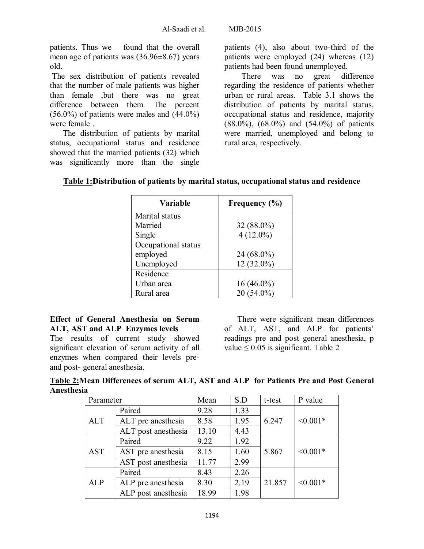patients. Thus we found that the overall mean age of patients was (36.96±8.67) years old.

The sex distribution of patients revealed that the number of male patients was higher than female ,but there was no great difference between them. The percent  $(56.0\%)$  of patients were males and  $(44.0\%)$ were female .

The distribution of patients by marital status, occupational status and residence showed that the married patients (32) which was significantly more than the single

patients (4), also about two-third of the patients were employed (24) whereas (12) patients had been found unemployed.

There was no great difference regarding the residence of patients whether urban or rural areas. Table 3.1 shows the distribution of patients by marital status, occupational status and residence, majority (88.0%), (68.0%) and (54.0%) of patients were married, unemployed and belong to rural area, respectively.

| Variable            | Frequency (%) |  |  |
|---------------------|---------------|--|--|
| Marital status      |               |  |  |
| Married             | 32 (88.0%)    |  |  |
| Single              | $4(12.0\%)$   |  |  |
| Occupational status |               |  |  |
| employed            | 24 (68.0%)    |  |  |
| Unemployed          | $12(32.0\%)$  |  |  |
| Residence           |               |  |  |
| Urban area          | $16(46.0\%)$  |  |  |
| Rural area          | $20(54.0\%)$  |  |  |
|                     |               |  |  |

## **Table 1:Distribution of patients by marital status, occupational status and residence**

### **Effect of General Anesthesia on Serum ALT, AST and ALP Enzymes levels**

The results of current study showed significant elevation of serum activity of all enzymes when compared their levels preand post- general anesthesia.

There were significant mean differences of ALT, AST, and ALP for patients' readings pre and post general anesthesia, p value  $\leq 0.05$  is significant. Table 2

| Table 2: Mean Differences of serum ALT, AST and ALP for Patients Pre and Post General |  |  |
|---------------------------------------------------------------------------------------|--|--|
| Anesthesia                                                                            |  |  |

| Parameter  |                     | Mean  | S.D  | t-test | P value       |
|------------|---------------------|-------|------|--------|---------------|
| <b>ALT</b> | Paired              | 9.28  | 1.33 | 6.247  | $< 0.001*$    |
|            | ALT pre anesthesia  | 8.58  | 1.95 |        |               |
|            | ALT post anesthesia | 13.10 | 4.43 |        |               |
| <b>AST</b> | Paired              | 9.22  | 1.92 | 5.867  | $< 0.001*$    |
|            | AST pre anesthesia  | 8.15  | 1.60 |        |               |
|            | AST post anesthesia | 11.77 | 2.99 |        |               |
| <b>ALP</b> | Paired              | 8.43  | 2.26 |        | $\leq 0.001*$ |
|            | ALP pre anesthesia  | 8.30  | 2.19 | 21.857 |               |
|            | ALP post anesthesia | 18.99 | 1.98 |        |               |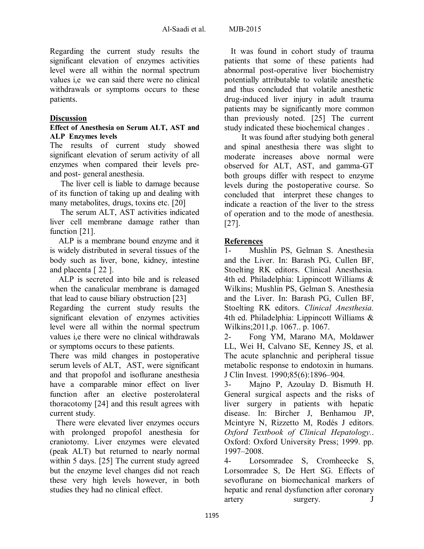Regarding the current study results the significant elevation of enzymes activities level were all within the normal spectrum values i,e we can said there were no clinical withdrawals or symptoms occurs to these patients.

### **Discussion**

#### **Effect of Anesthesia on Serum ALT, AST and ALP Enzymes levels**

The results of current study showed significant elevation of serum activity of all enzymes when compared their levels preand post- general anesthesia.

The liver cell is liable to damage because of its function of taking up and dealing with many metabolites, drugs, toxins etc. [20]

The serum ALT, AST activities indicated liver cell membrane damage rather than function [21].

ALP is a membrane bound enzyme and it is widely distributed in several tissues of the body such as liver, bone, kidney, intestine and placenta [ 22 ].

ALP is secreted into bile and is released when the canalicular membrane is damaged that lead to cause biliary obstruction [23]

Regarding the current study results the significant elevation of enzymes activities level were all within the normal spectrum values i,e there were no clinical withdrawals or symptoms occurs to these patients.

There was mild changes in postoperative serum levels of ALT, AST, were significant and that propofol and isoflurane anesthesia have a comparable minor effect on liver function after an elective posterolateral thoracotomy [24] and this result agrees with current study.

There were elevated liver enzymes occurs with prolonged propofol anesthesia for craniotomy. Liver enzymes were elevated (peak ALT) but returned to nearly normal within 5 days. [25] The current study agreed but the enzyme level changes did not reach these very high levels however, in both studies they had no clinical effect.

It was found in cohort study of trauma patients that some of these patients had abnormal post-operative liver biochemistry potentially attributable to volatile anesthetic and thus concluded that volatile anesthetic drug-induced liver injury in adult trauma patients may be significantly more common than previously noted. [25] The current study indicated these biochemical changes .

It was found after studying both general and spinal anesthesia there was slight to moderate increases above normal were observed for ALT, AST, and gamma-GT both groups differ with respect to enzyme levels during the postoperative course. So concluded that interpret these changes to indicate a reaction of the liver to the stress of operation and to the mode of anesthesia. [27].

### **References**

1- Mushlin PS, Gelman S. Anesthesia and the Liver. In: Barash PG, Cullen BF, Stoelting RK editors. Clinical Anesthesia*.* 4th ed. Philadelphia: Lippincott Williams & Wilkins; Mushlin PS, Gelman S. Anesthesia and the Liver. In: Barash PG, Cullen BF, Stoelting RK editors. *Clinical Anesthesia.* 4th ed. Philadelphia: Lippincott Williams & Wilkins;2011,p. 1067.. p. 1067.

2- Fong YM, Marano MA, Moldawer LL, Wei H, Calvano SE, Kenney JS, et al. The acute splanchnic and peripheral tissue metabolic response to endotoxin in humans. J Clin Invest*.* 1990;85(6):1896–904.

3- Majno P, Azoulay D. Bismuth H. General surgical aspects and the risks of liver surgery in patients with hepatic disease. In: Bircher J, Benhamou JP, Mcintyre N, Rizzetto M, Rodés J editors. *Oxford Textbook of Clinical Hepatology.*. Oxford: Oxford University Press; 1999. pp. 1997–2008.

4- Lorsomradee S, Cromheecke S, Lorsomradee S, De Hert SG. Effects of sevoflurane on biomechanical markers of hepatic and renal dysfunction after coronary artery surgery. J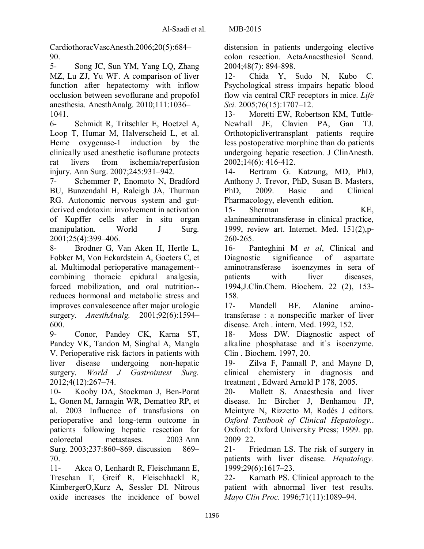CardiothoracVascAnesth.2006;20(5):684– 90.

5- Song JC, Sun YM, Yang LQ, Zhang MZ, Lu ZJ, Yu WF. A comparison of liver function after hepatectomy with inflow occlusion between sevoflurane and propofol anesthesia. AnesthAnalg. 2010;111:1036– 1041.

6- Schmidt R, Tritschler E, Hoetzel A, Loop T, Humar M, Halverscheid L, et al. Heme oxygenase-1 induction by the clinically used anesthetic isoflurane protects rat livers from ischemia/reperfusion injury. Ann Surg. 2007;245:931–942.

7- Schemmer P, Enomoto N, Bradford BU, Bunzendahl H, Raleigh JA, Thurman RG. Autonomic nervous system and gutderived endotoxin: involvement in activation of Kupffer cells after in situ organ manipulation. World J Surg. 2001;25(4):399–406.

8- Brodner G, Van Aken H, Hertle L, Fobker M, Von Eckardstein A, Goeters C, et al. Multimodal perioperative management- combining thoracic epidural analgesia, forced mobilization, and oral nutrition- reduces hormonal and metabolic stress and improves convalescence after major urologic surgery. *AnesthAnalg.* 2001;92(6):1594– 600.

9- Conor, Pandey CK, Karna ST, Pandey VK, Tandon M, Singhal A, Mangla V. Perioperative risk factors in patients with liver disease undergoing non-hepatic surgery. *World J Gastrointest Surg.* 2012;4(12):267–74.

10- Kooby DA, Stockman J, Ben-Porat L, Gonen M, Jarnagin WR, Dematteo RP, et al. 2003 Influence of transfusions on perioperative and long-term outcome in patients following hepatic resection for colorectal metastases. 2003 Ann Surg. 2003;237:860–869. discussion 869– 70.

11- Akca O, Lenhardt R, Fleischmann E, Treschan T, Greif R, Fleischhackl R, KimbergerO,Kurz A, Sessler DI. Nitrous oxide increases the incidence of bowel distension in patients undergoing elective colon resection. ActaAnaesthesiol Scand. 2004;48(7): 894-898.

12- Chida Y, Sudo N, Kubo C. Psychological stress impairs hepatic blood flow via central CRF receptors in mice. *Life Sci.* 2005;76(15):1707–12.

13- Moretti EW, Robertson KM, Tuttle-Newhall JE, Clavien PA, Gan TJ. Orthotopiclivertransplant patients require less postoperative morphine than do patients undergoing hepatic resection. J ClinAnesth. 2002;14(6): 416-412.

14- Bertram G. Katzung, MD, PhD, Anthony J. Trevor, PhD, Susan B. Masters, PhD, 2009. Basic and Clinical Pharmacology, eleventh edition.

15- Sherman KE, alanineaminotransferase in clinical practice, 1999, review art. Internet. Med. 151(2),p-260-265.

16- Panteghini M *et al*, Clinical and Diagnostic significance of aspartate aminotransferase isoenzymes in sera of patients with liver diseases, 1994,J.Clin.Chem. Biochem. 22 (2), 153- 158.

17- Mandell BF. Alanine aminotransferase : a nonspecific marker of liver disease. Arch . intern. Med. 1992, 152.

18- Moss DW. Diagnostic aspect of alkaline phosphatase and it`s isoenzyme. Clin . Biochem. 1997, 20.

19- Zilva F, Pannall P, and Mayne D, clinical chemistery in diagnosis and treatment , Edward Arnold P 178, 2005.

20- Mallett S. Anaesthesia and liver disease. In: Bircher J, Benhamou JP, Mcintyre N, Rizzetto M, Rodés J editors. *Oxford Textbook of Clinical Hepatology.*. Oxford: Oxford University Press; 1999. pp. 2009–22.

21- Friedman LS. The risk of surgery in patients with liver disease. *Hepatology.* 1999;29(6):1617–23.

22- Kamath PS. Clinical approach to the patient with abnormal liver test results. *Mayo Clin Proc.* 1996;71(11):1089–94.